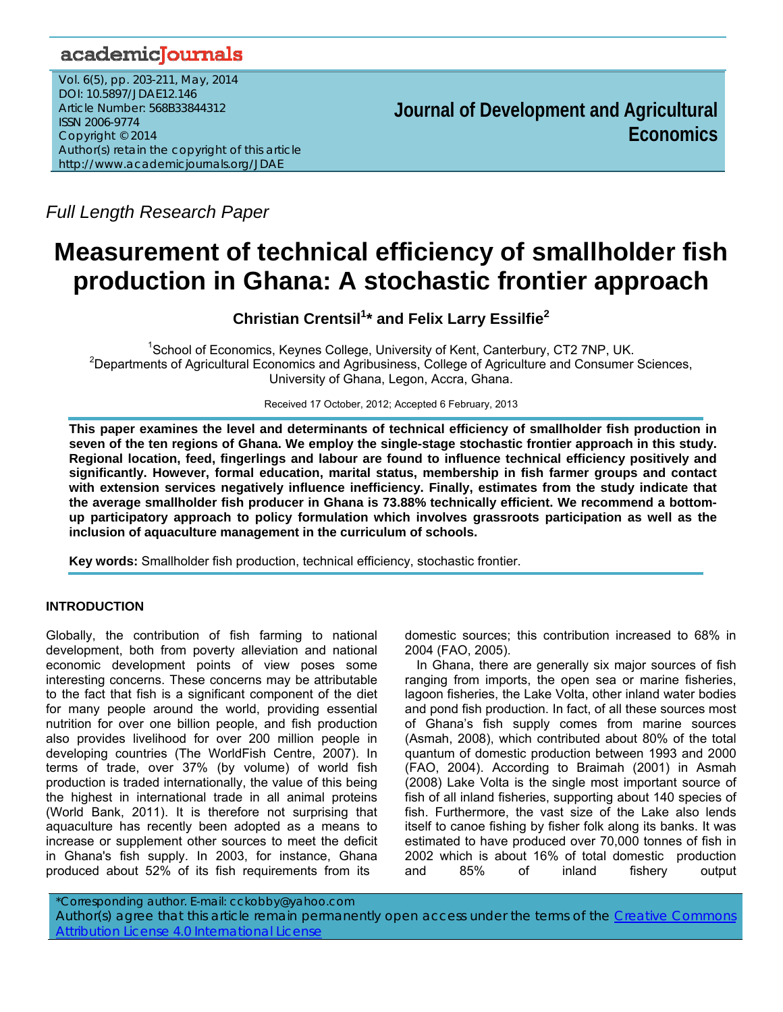# academicJournals

Vol. 6(5), pp. 203-211, May, 2014 DOI: 10.5897/JDAE12.146 Article Number: 568B33844312 ISSN 2006-9774 Copyright © 2014 Author(s) retain the copyright of this article http://www.academicjournals.org/JDAE

**Journal of Development and Agricultural Economics**

*Full Length Research Paper* 

# **Measurement of technical efficiency of smallholder fish production in Ghana: A stochastic frontier approach**

**Christian Crentsil<sup>1</sup> \* and Felix Larry Essilfie<sup>2</sup>**

<sup>1</sup> School of Economics, Keynes College, University of Kent, Canterbury, CT2 7NP, UK.<br><sup>2</sup> Departments of Agricultural Economics and Agriculturingse, College of Agriculture and Consumer. <sup>2</sup>Departments of Agricultural Economics and Agribusiness, College of Agriculture and Consumer Sciences, University of Ghana, Legon, Accra, Ghana.

Received 17 October, 2012; Accepted 6 February, 2013

**This paper examines the level and determinants of technical efficiency of smallholder fish production in seven of the ten regions of Ghana. We employ the single-stage stochastic frontier approach in this study. Regional location, feed, fingerlings and labour are found to influence technical efficiency positively and significantly. However, formal education, marital status, membership in fish farmer groups and contact with extension services negatively influence inefficiency. Finally, estimates from the study indicate that the average smallholder fish producer in Ghana is 73.88% technically efficient. We recommend a bottomup participatory approach to policy formulation which involves grassroots participation as well as the inclusion of aquaculture management in the curriculum of schools.** 

**Key words:** Smallholder fish production, technical efficiency, stochastic frontier.

# **INTRODUCTION**

Globally, the contribution of fish farming to national development, both from poverty alleviation and national economic development points of view poses some interesting concerns. These concerns may be attributable to the fact that fish is a significant component of the diet for many people around the world, providing essential nutrition for over one billion people, and fish production also provides livelihood for over 200 million people in developing countries (The WorldFish Centre, 2007). In terms of trade, over 37% (by volume) of world fish production is traded internationally, the value of this being the highest in international trade in all animal proteins (World Bank, 2011). It is therefore not surprising that aquaculture has recently been adopted as a means to increase or supplement other sources to meet the deficit in Ghana's fish supply. In 2003, for instance, Ghana produced about 52% of its fish requirements from its

domestic sources; this contribution increased to 68% in 2004 (FAO, 2005).

In Ghana, there are generally six major sources of fish ranging from imports, the open sea or marine fisheries, lagoon fisheries, the Lake Volta, other inland water bodies and pond fish production. In fact, of all these sources most of Ghana's fish supply comes from marine sources (Asmah, 2008), which contributed about 80% of the total quantum of domestic production between 1993 and 2000 (FAO, 2004). According to Braimah (2001) in Asmah (2008) Lake Volta is the single most important source of fish of all inland fisheries, supporting about 140 species of fish. Furthermore, the vast size of the Lake also lends itself to canoe fishing by fisher folk along its banks. It was estimated to have produced over 70,000 tonnes of fish in 2002 which is about 16% of total domestic production and 85% of inland fishery output

\*Corresponding author. E-mail: cckobby@yahoo.com Author(s) agree that this article remain permanently open access under the terms of the Creative Commons Attribution License 4.0 International License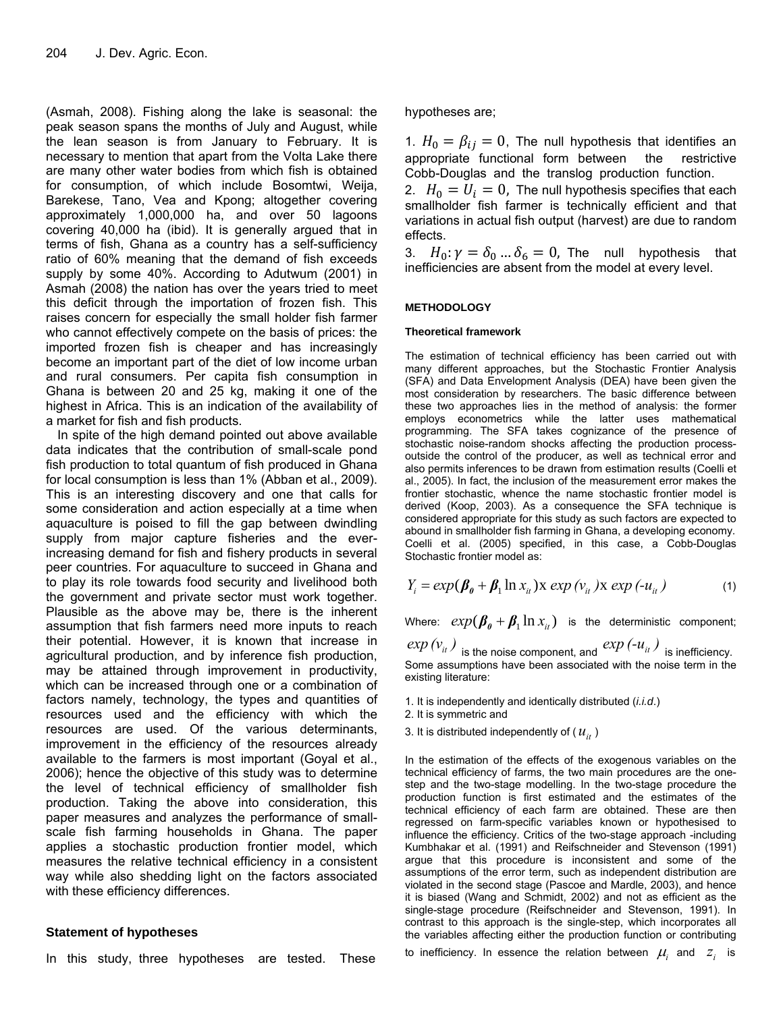(Asmah, 2008). Fishing along the lake is seasonal: the peak season spans the months of July and August, while the lean season is from January to February. It is necessary to mention that apart from the Volta Lake there are many other water bodies from which fish is obtained for consumption, of which include Bosomtwi, Weija, Barekese, Tano, Vea and Kpong; altogether covering approximately 1,000,000 ha, and over 50 lagoons covering 40,000 ha (ibid). It is generally argued that in terms of fish, Ghana as a country has a self-sufficiency ratio of 60% meaning that the demand of fish exceeds supply by some 40%. According to Adutwum (2001) in Asmah (2008) the nation has over the years tried to meet this deficit through the importation of frozen fish. This raises concern for especially the small holder fish farmer who cannot effectively compete on the basis of prices: the imported frozen fish is cheaper and has increasingly become an important part of the diet of low income urban and rural consumers. Per capita fish consumption in Ghana is between 20 and 25 kg, making it one of the highest in Africa. This is an indication of the availability of a market for fish and fish products.

In spite of the high demand pointed out above available data indicates that the contribution of small-scale pond fish production to total quantum of fish produced in Ghana for local consumption is less than 1% (Abban et al., 2009). This is an interesting discovery and one that calls for some consideration and action especially at a time when aquaculture is poised to fill the gap between dwindling supply from major capture fisheries and the everincreasing demand for fish and fishery products in several peer countries. For aquaculture to succeed in Ghana and to play its role towards food security and livelihood both the government and private sector must work together. Plausible as the above may be, there is the inherent assumption that fish farmers need more inputs to reach their potential. However, it is known that increase in agricultural production, and by inference fish production, may be attained through improvement in productivity, which can be increased through one or a combination of factors namely, technology, the types and quantities of resources used and the efficiency with which the resources are used. Of the various determinants, improvement in the efficiency of the resources already available to the farmers is most important (Goyal et al., 2006); hence the objective of this study was to determine the level of technical efficiency of smallholder fish production. Taking the above into consideration, this paper measures and analyzes the performance of smallscale fish farming households in Ghana. The paper applies a stochastic production frontier model, which measures the relative technical efficiency in a consistent way while also shedding light on the factors associated with these efficiency differences.

# **Statement of hypotheses**

In this study, three hypotheses are tested. These

hypotheses are;

1.  $H_0 = \beta_{ij} = 0$ , The null hypothesis that identifies an appropriate functional form between the restrictive Cobb-Douglas and the translog production function.

2.  $H_0 = U_i = 0$ , The null hypothesis specifies that each smallholder fish farmer is technically efficient and that variations in actual fish output (harvest) are due to random effects.

3.  $H_0: \gamma = \delta_0 ... \delta_6 = 0$ , The null hypothesis that inefficiencies are absent from the model at every level.

#### **METHODOLOGY**

#### **Theoretical framework**

The estimation of technical efficiency has been carried out with many different approaches, but the Stochastic Frontier Analysis (SFA) and Data Envelopment Analysis (DEA) have been given the most consideration by researchers. The basic difference between these two approaches lies in the method of analysis: the former employs econometrics while the latter uses mathematical programming. The SFA takes cognizance of the presence of stochastic noise-random shocks affecting the production processoutside the control of the producer, as well as technical error and also permits inferences to be drawn from estimation results (Coelli et al., 2005). In fact, the inclusion of the measurement error makes the frontier stochastic, whence the name stochastic frontier model is derived (Koop, 2003). As a consequence the SFA technique is considered appropriate for this study as such factors are expected to abound in smallholder fish farming in Ghana, a developing economy. Coelli et al. (2005) specified, in this case, a Cobb-Douglas Stochastic frontier model as:

$$
Y_i = exp(\beta_0 + \beta_1 \ln x_{it}) \ge exp(v_{it}) \ge exp(-u_{it})
$$
\n(1)

Where:  $exp(\beta_0 + \beta_1 \ln x_i)$  is the deterministic component;

 $exp\left(v_{it}\right)$  is the noise component, and  $exp\left(-u_{it}\right)$  is inefficiency. Some assumptions have been associated with the noise term in the existing literature:

- 1. It is independently and identically distributed (*i.i.d*.)
- 2. It is symmetric and
- 3. It is distributed independently of  $(u_{it})$

In the estimation of the effects of the exogenous variables on the technical efficiency of farms, the two main procedures are the onestep and the two-stage modelling. In the two-stage procedure the production function is first estimated and the estimates of the technical efficiency of each farm are obtained. These are then regressed on farm-specific variables known or hypothesised to influence the efficiency. Critics of the two-stage approach -including Kumbhakar et al. (1991) and Reifschneider and Stevenson (1991) argue that this procedure is inconsistent and some of the assumptions of the error term, such as independent distribution are violated in the second stage (Pascoe and Mardle, 2003), and hence it is biased (Wang and Schmidt, 2002) and not as efficient as the single-stage procedure (Reifschneider and Stevenson, 1991). In contrast to this approach is the single-step, which incorporates all the variables affecting either the production function or contributing

to inefficiency. In essence the relation between  $\mu_i$  and  $z_i$  is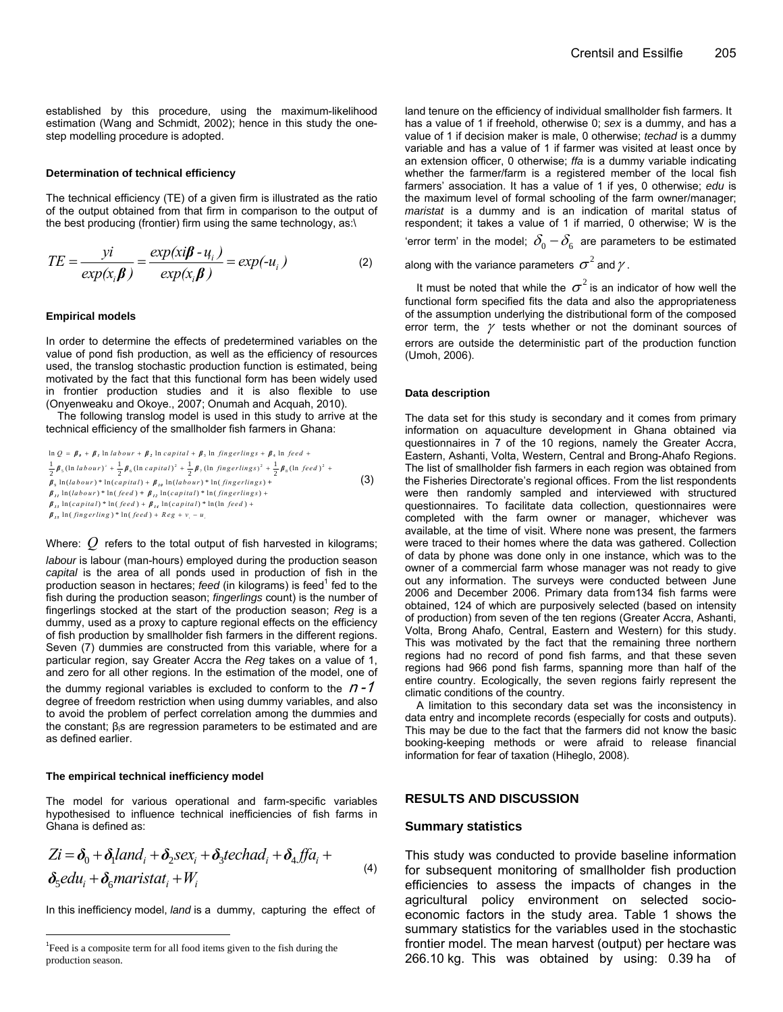established by this procedure, using the maximum-likelihood estimation (Wang and Schmidt, 2002); hence in this study the onestep modelling procedure is adopted.

#### **Determination of technical efficiency**

The technical efficiency (TE) of a given firm is illustrated as the ratio of the output obtained from that firm in comparison to the output of the best producing (frontier) firm using the same technology, as:\

$$
TE = \frac{yi}{exp(x_i\beta)} = \frac{exp(xi\beta - u_i)}{exp(x_i\beta)} = exp(-u_i)
$$
 (2)

#### **Empirical models**

In order to determine the effects of predetermined variables on the value of pond fish production, as well as the efficiency of resources used, the translog stochastic production function is estimated, being motivated by the fact that this functional form has been widely used in frontier production studies and it is also flexible to use (Onyenweaku and Okoye., 2007; Onumah and Acquah, 2010).

The following translog model is used in this study to arrive at the technical efficiency of the smallholder fish farmers in Ghana:

$$
\ln Q = \beta_{\theta} + \beta_{I} \ln labour + \beta_{2} \ln capital + \beta_{3} \ln fingerlings + \beta_{4} \ln feed +\n\frac{1}{2} \beta_{5} (\ln labour)^{2} + \frac{1}{2} \beta_{6} (\ln capital)^{2} + \frac{1}{2} \beta_{1} (\ln fingerlings)^{2} + \frac{1}{2} \beta_{8} (\ln feed)^{2} +\n\beta_{9} \ln (labour)^{*} \ln (capital) + \beta_{1\theta} \ln (labour)^{*} \ln (fingerlings) +\n\beta_{II} \ln (labour)^{*} \ln (feed) + \beta_{II} \ln-capital)^{*} \ln (fingerlings) +\n\beta_{II} \ln-capital)^{*} \ln (feed) + \beta_{II} \ln-capital)^{*} \ln(\ln feed) +\n\beta_{II} \ln (fingerling)^{*} \ln (feed) + Reg + v, -u,
$$
\n(3)

Where: Q refers to the total output of fish harvested in kilograms;

*labour* is labour (man-hours) employed during the production season *capital* is the area of all ponds used in production of fish in the production season in hectares; feed (in kilograms) is feed<sup>1</sup> fed to the fish during the production season; *fingerlings* count) is the number of fingerlings stocked at the start of the production season; *Reg* is a dummy, used as a proxy to capture regional effects on the efficiency of fish production by smallholder fish farmers in the different regions. Seven (7) dummies are constructed from this variable, where for a particular region, say Greater Accra the *Reg* takes on a value of 1, and zero for all other regions. In the estimation of the model, one of the dummy regional variables is excluded to conform to the  $n - 1$ 

degree of freedom restriction when using dummy variables, and also to avoid the problem of perfect correlation among the dummies and the constant;  $β<sub>i</sub>s$  are regression parameters to be estimated and are as defined earlier.

#### **The empirical technical inefficiency model**

The model for various operational and farm-specific variables hypothesised to influence technical inefficiencies of fish farms in Ghana is defined as:

$$
Zi = \delta_0 + \delta_1 land_i + \delta_2 sex_i + \delta_3 techad_i + \delta_4 ff a_i +
$$
  

$$
\delta_5 edu_i + \delta_6 maristat_i + W_i
$$
 (4)

In this inefficiency model, *land* is a dummy, capturing the effect of

land tenure on the efficiency of individual smallholder fish farmers. It has a value of 1 if freehold, otherwise 0; *sex* is a dummy, and has a value of 1 if decision maker is male, 0 otherwise; *techad* is a dummy variable and has a value of 1 if farmer was visited at least once by an extension officer, 0 otherwise; *ffa* is a dummy variable indicating whether the farmer/farm is a registered member of the local fish farmers' association. It has a value of 1 if yes, 0 otherwise; *edu* is the maximum level of formal schooling of the farm owner/manager; *maristat* is a dummy and is an indication of marital status of respondent; it takes a value of 1 if married, 0 otherwise; W is the 'error term' in the model;  $\delta_{0} - \delta_{6}$  are parameters to be estimated

along with the variance parameters  $\sigma^2$  and  $\gamma$ .

It must be noted that while the  $\sigma^2$  is an indicator of how well the functional form specified fits the data and also the appropriateness of the assumption underlying the distributional form of the composed error term, the  $\gamma$  tests whether or not the dominant sources of errors are outside the deterministic part of the production function (Umoh, 2006).

#### **Data description**

The data set for this study is secondary and it comes from primary information on aquaculture development in Ghana obtained via questionnaires in 7 of the 10 regions, namely the Greater Accra, Eastern, Ashanti, Volta, Western, Central and Brong-Ahafo Regions. The list of smallholder fish farmers in each region was obtained from the Fisheries Directorate's regional offices. From the list respondents were then randomly sampled and interviewed with structured questionnaires. To facilitate data collection, questionnaires were completed with the farm owner or manager, whichever was available, at the time of visit. Where none was present, the farmers were traced to their homes where the data was gathered. Collection of data by phone was done only in one instance, which was to the owner of a commercial farm whose manager was not ready to give out any information. The surveys were conducted between June 2006 and December 2006. Primary data from134 fish farms were obtained, 124 of which are purposively selected (based on intensity of production) from seven of the ten regions (Greater Accra, Ashanti, Volta, Brong Ahafo, Central, Eastern and Western) for this study. This was motivated by the fact that the remaining three northern regions had no record of pond fish farms, and that these seven regions had 966 pond fish farms, spanning more than half of the entire country. Ecologically, the seven regions fairly represent the climatic conditions of the country.

A limitation to this secondary data set was the inconsistency in data entry and incomplete records (especially for costs and outputs). This may be due to the fact that the farmers did not know the basic booking-keeping methods or were afraid to release financial information for fear of taxation (Hiheglo, 2008).

#### **RESULTS AND DISCUSSION**

#### **Summary statistics**

This study was conducted to provide baseline information for subsequent monitoring of smallholder fish production efficiencies to assess the impacts of changes in the agricultural policy environment on selected socioeconomic factors in the study area. Table 1 shows the summary statistics for the variables used in the stochastic frontier model. The mean harvest (output) per hectare was 266.10 kg. This was obtained by using: 0.39 ha of

<sup>&</sup>lt;sup>1</sup> Feed is a composite term for all food items given to the fish during the production season.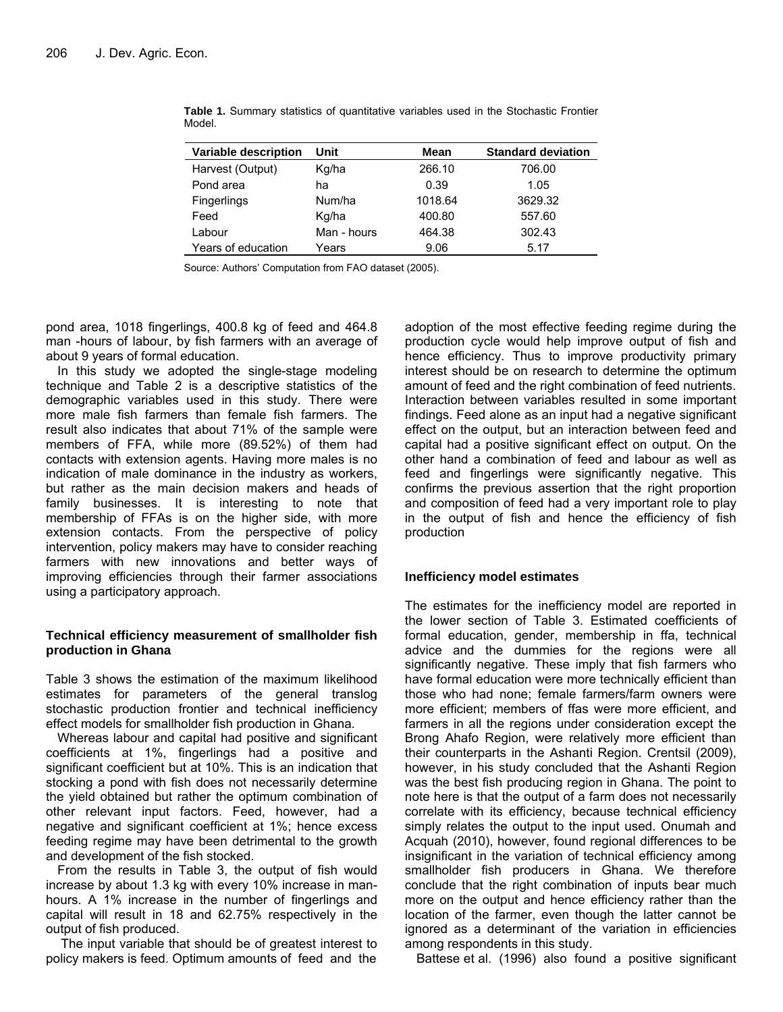| Variable description | Unit        | Mean    | <b>Standard deviation</b> |
|----------------------|-------------|---------|---------------------------|
| Harvest (Output)     | Kg/ha       | 266.10  | 706.00                    |
| Pond area            | ha          | 0.39    | 1.05                      |
| <b>Fingerlings</b>   | Num/ha      | 1018.64 | 3629.32                   |
| Feed                 | Kg/ha       | 400.80  | 557.60                    |
| Labour               | Man - hours | 464.38  | 302.43                    |
| Years of education   | Years       | 9.06    | 5.17                      |

**Table 1.** Summary statistics of quantitative variables used in the Stochastic Frontier Model.

Source: Authors' Computation from FAO dataset (2005).

pond area, 1018 fingerlings, 400.8 kg of feed and 464.8 man -hours of labour, by fish farmers with an average of about 9 years of formal education.

In this study we adopted the single-stage modeling technique and Table 2 is a descriptive statistics of the demographic variables used in this study. There were more male fish farmers than female fish farmers. The result also indicates that about 71% of the sample were members of FFA, while more (89.52%) of them had contacts with extension agents. Having more males is no indication of male dominance in the industry as workers, but rather as the main decision makers and heads of family businesses. It is interesting to note that membership of FFAs is on the higher side, with more extension contacts. From the perspective of policy intervention, policy makers may have to consider reaching farmers with new innovations and better ways of improving efficiencies through their farmer associations using a participatory approach.

# **Technical efficiency measurement of smallholder fish production in Ghana**

Table 3 shows the estimation of the maximum likelihood estimates for parameters of the general translog stochastic production frontier and technical inefficiency effect models for smallholder fish production in Ghana.

Whereas labour and capital had positive and significant coefficients at 1%, fingerlings had a positive and significant coefficient but at 10%. This is an indication that stocking a pond with fish does not necessarily determine the yield obtained but rather the optimum combination of other relevant input factors. Feed, however, had a negative and significant coefficient at 1%; hence excess feeding regime may have been detrimental to the growth and development of the fish stocked.

From the results in Table 3, the output of fish would increase by about 1.3 kg with every 10% increase in manhours. A 1% increase in the number of fingerlings and capital will result in 18 and 62.75% respectively in the output of fish produced.

 The input variable that should be of greatest interest to policy makers is feed. Optimum amounts of feed and the adoption of the most effective feeding regime during the production cycle would help improve output of fish and hence efficiency. Thus to improve productivity primary interest should be on research to determine the optimum amount of feed and the right combination of feed nutrients. Interaction between variables resulted in some important findings. Feed alone as an input had a negative significant effect on the output, but an interaction between feed and capital had a positive significant effect on output. On the other hand a combination of feed and labour as well as feed and fingerlings were significantly negative. This confirms the previous assertion that the right proportion and composition of feed had a very important role to play in the output of fish and hence the efficiency of fish production

# **Inefficiency model estimates**

The estimates for the inefficiency model are reported in the lower section of Table 3. Estimated coefficients of formal education, gender, membership in ffa, technical advice and the dummies for the regions were all significantly negative. These imply that fish farmers who have formal education were more technically efficient than those who had none; female farmers/farm owners were more efficient; members of ffas were more efficient, and farmers in all the regions under consideration except the Brong Ahafo Region, were relatively more efficient than their counterparts in the Ashanti Region. Crentsil (2009), however, in his study concluded that the Ashanti Region was the best fish producing region in Ghana. The point to note here is that the output of a farm does not necessarily correlate with its efficiency, because technical efficiency simply relates the output to the input used. Onumah and Acquah (2010), however, found regional differences to be insignificant in the variation of technical efficiency among smallholder fish producers in Ghana. We therefore conclude that the right combination of inputs bear much more on the output and hence efficiency rather than the location of the farmer, even though the latter cannot be ignored as a determinant of the variation in efficiencies among respondents in this study.

Battese et al. (1996) also found a positive significant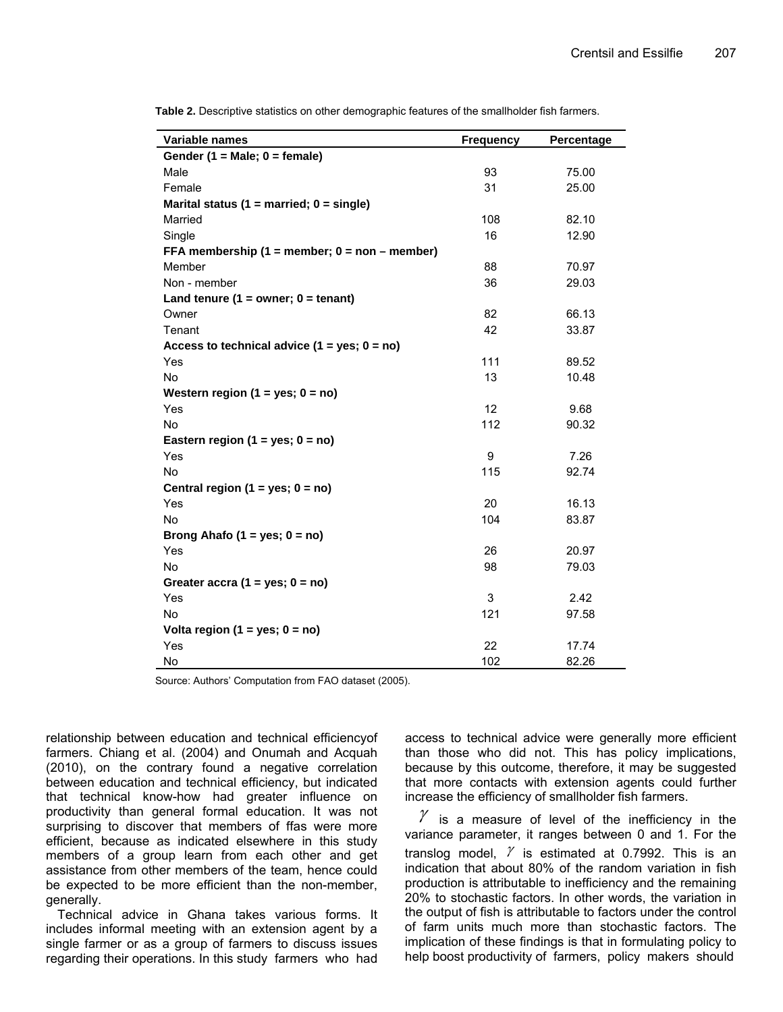| Variable names                                      | <b>Frequency</b> | Percentage |
|-----------------------------------------------------|------------------|------------|
| Gender (1 = Male; $0 =$ female)                     |                  |            |
| Male                                                | 93               | 75.00      |
| Female                                              | 31               | 25.00      |
| Marital status (1 = married; $0 =$ single)          |                  |            |
| Married                                             | 108              | 82.10      |
| Single                                              | 16               | 12.90      |
| FFA membership $(1 =$ member; $0 =$ non $-$ member) |                  |            |
| Member                                              | 88               | 70.97      |
| Non - member                                        | 36               | 29.03      |
| Land tenure $(1 = owner; 0 = tenant)$               |                  |            |
| Owner                                               | 82               | 66.13      |
| Tenant                                              | 42               | 33.87      |
| Access to technical advice $(1 = yes; 0 = no)$      |                  |            |
| Yes                                                 | 111              | 89.52      |
| No                                                  | 13               | 10.48      |
| Western region $(1 = yes; 0 = no)$                  |                  |            |
| Yes                                                 | 12               | 9.68       |
| <b>No</b>                                           | 112              | 90.32      |
| Eastern region (1 = yes; $0 = no$ )                 |                  |            |
| Yes                                                 | 9                | 7.26       |
| <b>No</b>                                           | 115              | 92.74      |
| Central region $(1 = yes; 0 = no)$                  |                  |            |
| Yes                                                 | 20               | 16.13      |
| No                                                  | 104              | 83.87      |
| Brong Ahafo (1 = yes; $0 = no$ )                    |                  |            |
| Yes                                                 | 26               | 20.97      |
| No                                                  | 98               | 79.03      |
| Greater accra $(1 = yes; 0 = no)$                   |                  |            |
| Yes                                                 | 3                | 2.42       |
| <b>No</b>                                           | 121              | 97.58      |
| Volta region (1 = yes; $0 = no$ )                   |                  |            |
| Yes                                                 | 22               | 17.74      |
| <b>No</b>                                           | 102              | 82.26      |

**Table 2.** Descriptive statistics on other demographic features of the smallholder fish farmers.

Source: Authors' Computation from FAO dataset (2005).

relationship between education and technical efficiencyof farmers. Chiang et al. (2004) and Onumah and Acquah (2010), on the contrary found a negative correlation between education and technical efficiency, but indicated that technical know-how had greater influence on productivity than general formal education. It was not surprising to discover that members of ffas were more efficient, because as indicated elsewhere in this study members of a group learn from each other and get assistance from other members of the team, hence could be expected to be more efficient than the non-member, generally.

Technical advice in Ghana takes various forms. It includes informal meeting with an extension agent by a single farmer or as a group of farmers to discuss issues regarding their operations. In this study farmers who had access to technical advice were generally more efficient than those who did not. This has policy implications, because by this outcome, therefore, it may be suggested that more contacts with extension agents could further increase the efficiency of smallholder fish farmers.

 $\mathcal Y$  is a measure of level of the inefficiency in the variance parameter, it ranges between 0 and 1. For the translog model,  $\gamma$  is estimated at 0.7992. This is an indication that about 80% of the random variation in fish production is attributable to inefficiency and the remaining 20% to stochastic factors. In other words, the variation in the output of fish is attributable to factors under the control of farm units much more than stochastic factors. The implication of these findings is that in formulating policy to help boost productivity of farmers, policy makers should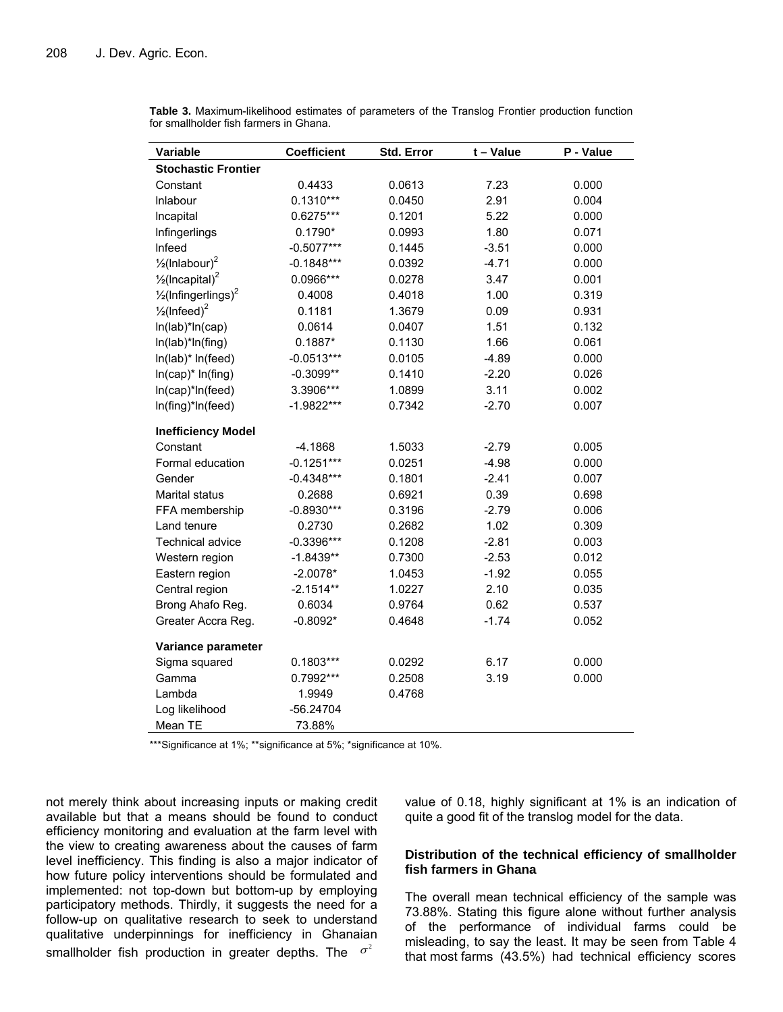| Variable                                   | <b>Coefficient</b> | Std. Error | $t - Value$ | P - Value |
|--------------------------------------------|--------------------|------------|-------------|-----------|
| <b>Stochastic Frontier</b>                 |                    |            |             |           |
| Constant                                   | 0.4433             | 0.0613     | 7.23        | 0.000     |
| Inlabour                                   | $0.1310***$        | 0.0450     | 2.91        | 0.004     |
| Incapital                                  | 0.6275***          | 0.1201     | 5.22        | 0.000     |
| Infingerlings                              | $0.1790*$          | 0.0993     | 1.80        | 0.071     |
| Infeed                                     | $-0.5077***$       | 0.1445     | $-3.51$     | 0.000     |
| $\frac{1}{2}$ (Inlabour) <sup>2</sup>      | $-0.1848***$       | 0.0392     | $-4.71$     | 0.000     |
| $\frac{1}{2}$ (Incapital) <sup>2</sup>     | 0.0966***          | 0.0278     | 3.47        | 0.001     |
| $\frac{1}{2}$ (Infingerlings) <sup>2</sup> | 0.4008             | 0.4018     | 1.00        | 0.319     |
| $\frac{1}{2}$ (Infeed) <sup>2</sup>        | 0.1181             | 1.3679     | 0.09        | 0.931     |
| In(lab)*In(cap)                            | 0.0614             | 0.0407     | 1.51        | 0.132     |
| In(lab)*In(fing)                           | $0.1887*$          | 0.1130     | 1.66        | 0.061     |
| In(lab)* In(feed)                          | $-0.0513***$       | 0.0105     | $-4.89$     | 0.000     |
| $ln(cap)^* ln(fing)$                       | $-0.3099**$        | 0.1410     | $-2.20$     | 0.026     |
| In(cap)*In(feed)                           | 3.3906***          | 1.0899     | 3.11        | 0.002     |
| In(fing)*In(feed)                          | -1.9822***         | 0.7342     | $-2.70$     | 0.007     |
| <b>Inefficiency Model</b>                  |                    |            |             |           |
| Constant                                   | $-4.1868$          | 1.5033     | $-2.79$     | 0.005     |
| Formal education                           | $-0.1251***$       | 0.0251     | $-4.98$     | 0.000     |
| Gender                                     | $-0.4348***$       | 0.1801     | $-2.41$     | 0.007     |
| Marital status                             | 0.2688             | 0.6921     | 0.39        | 0.698     |
| FFA membership                             | $-0.8930***$       | 0.3196     | $-2.79$     | 0.006     |
| Land tenure                                | 0.2730             | 0.2682     | 1.02        | 0.309     |
| Technical advice                           | $-0.3396***$       | 0.1208     | $-2.81$     | 0.003     |
| Western region                             | $-1.8439**$        | 0.7300     | $-2.53$     | 0.012     |
| Eastern region                             | $-2.0078*$         | 1.0453     | $-1.92$     | 0.055     |
| Central region                             | $-2.1514**$        | 1.0227     | 2.10        | 0.035     |
| Brong Ahafo Reg.                           | 0.6034             | 0.9764     | 0.62        | 0.537     |
| Greater Accra Reg.                         | $-0.8092*$         | 0.4648     | $-1.74$     | 0.052     |
| Variance parameter                         |                    |            |             |           |
| Sigma squared                              | $0.1803***$        | 0.0292     | 6.17        | 0.000     |
| Gamma                                      | 0.7992***          | 0.2508     | 3.19        | 0.000     |
| Lambda                                     | 1.9949             | 0.4768     |             |           |
| Log likelihood                             | -56.24704          |            |             |           |
| Mean TE                                    | 73.88%             |            |             |           |

**Table 3.** Maximum-likelihood estimates of parameters of the Translog Frontier production function for smallholder fish farmers in Ghana.

\*\*\*Significance at 1%; \*\*significance at 5%; \*significance at 10%.

not merely think about increasing inputs or making credit available but that a means should be found to conduct efficiency monitoring and evaluation at the farm level with the view to creating awareness about the causes of farm level inefficiency. This finding is also a major indicator of how future policy interventions should be formulated and implemented: not top-down but bottom-up by employing participatory methods. Thirdly, it suggests the need for a follow-up on qualitative research to seek to understand qualitative underpinnings for inefficiency in Ghanaian smallholder fish production in greater depths. The  $\sigma^2$ 

value of 0.18, highly significant at 1% is an indication of quite a good fit of the translog model for the data.

# **Distribution of the technical efficiency of smallholder fish farmers in Ghana**

The overall mean technical efficiency of the sample was 73.88%. Stating this figure alone without further analysis of the performance of individual farms could be misleading, to say the least. It may be seen from Table 4 that most farms (43.5%) had technical efficiency scores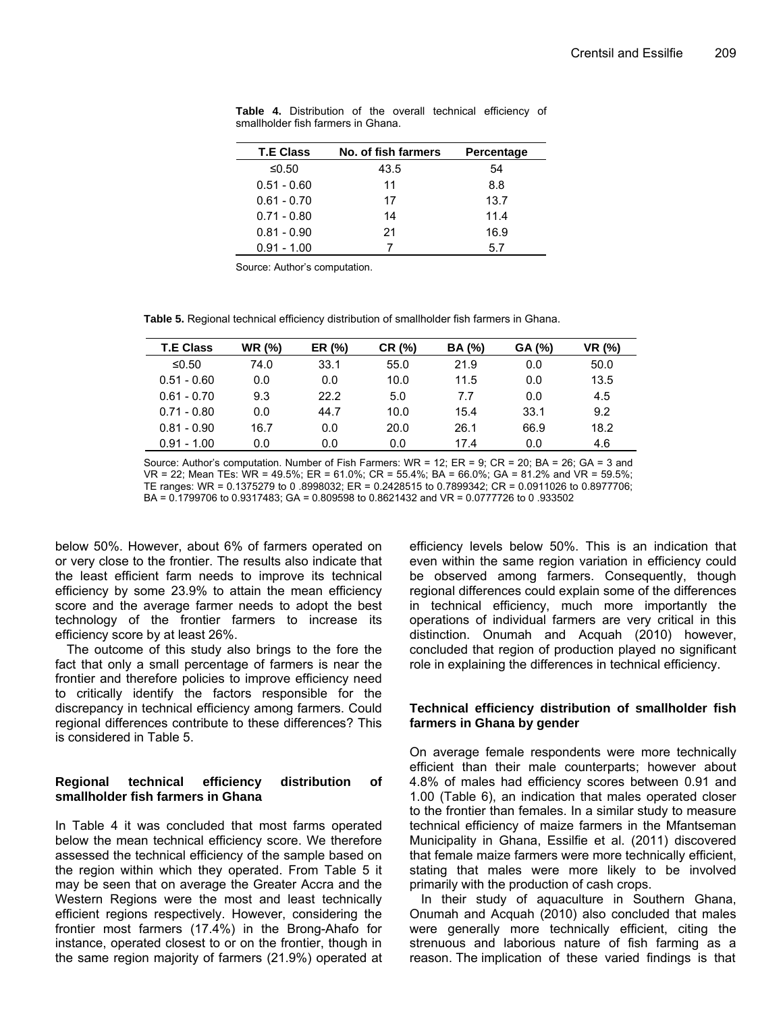| <b>T.E Class</b> | No. of fish farmers | Percentage |
|------------------|---------------------|------------|
| ≤0.50            | 43.5                | 54         |
| $0.51 - 0.60$    | 11                  | 8.8        |
| $0.61 - 0.70$    | 17                  | 13.7       |
| $0.71 - 0.80$    | 14                  | 11.4       |
| $0.81 - 0.90$    | 21                  | 16.9       |
| $0.91 - 1.00$    |                     | 5.7        |

**Table 4.** Distribution of the overall technical efficiency of smallholder fish farmers in Ghana.

Source: Author's computation.

**Table 5.** Regional technical efficiency distribution of smallholder fish farmers in Ghana.

| <b>T.E Class</b> | <b>WR (%)</b> | ER (%) | CR (%) | <b>BA</b> (%) | GA (%) | VR (%) |
|------------------|---------------|--------|--------|---------------|--------|--------|
| ≤0.50            | 74.0          | 33.1   | 55.0   | 21.9          | 0.0    | 50.0   |
| $0.51 - 0.60$    | 0.0           | 0.0    | 10.0   | 11.5          | 0.0    | 13.5   |
| $0.61 - 0.70$    | 9.3           | 22.2   | 5.0    | 7.7           | 0.0    | 4.5    |
| $0.71 - 0.80$    | 0.0           | 44.7   | 10.0   | 15.4          | 33.1   | 9.2    |
| $0.81 - 0.90$    | 16.7          | 0.0    | 20.0   | 26.1          | 66.9   | 18.2   |
| $0.91 - 1.00$    | 0.0           | 0.0    | 0.0    | 17.4          | 0.0    | 4.6    |

Source: Author's computation. Number of Fish Farmers: WR = 12; ER = 9; CR = 20; BA = 26; GA = 3 and VR = 22; Mean TEs: WR = 49.5%; ER = 61.0%; CR = 55.4%; BA = 66.0%; GA = 81.2% and VR = 59.5%; TE ranges: WR = 0.1375279 to 0 .8998032; ER = 0.2428515 to 0.7899342; CR = 0.0911026 to 0.8977706; BA = 0.1799706 to 0.9317483; GA = 0.809598 to 0.8621432 and VR = 0.0777726 to 0 .933502

below 50%. However, about 6% of farmers operated on or very close to the frontier. The results also indicate that the least efficient farm needs to improve its technical efficiency by some 23.9% to attain the mean efficiency score and the average farmer needs to adopt the best technology of the frontier farmers to increase its efficiency score by at least 26%.

The outcome of this study also brings to the fore the fact that only a small percentage of farmers is near the frontier and therefore policies to improve efficiency need to critically identify the factors responsible for the discrepancy in technical efficiency among farmers. Could regional differences contribute to these differences? This is considered in Table 5.

# **Regional technical efficiency distribution of smallholder fish farmers in Ghana**

In Table 4 it was concluded that most farms operated below the mean technical efficiency score. We therefore assessed the technical efficiency of the sample based on the region within which they operated. From Table 5 it may be seen that on average the Greater Accra and the Western Regions were the most and least technically efficient regions respectively. However, considering the frontier most farmers (17.4%) in the Brong-Ahafo for instance, operated closest to or on the frontier, though in the same region majority of farmers (21.9%) operated at efficiency levels below 50%. This is an indication that even within the same region variation in efficiency could be observed among farmers. Consequently, though regional differences could explain some of the differences in technical efficiency, much more importantly the operations of individual farmers are very critical in this distinction. Onumah and Acquah (2010) however, concluded that region of production played no significant role in explaining the differences in technical efficiency.

# **Technical efficiency distribution of smallholder fish farmers in Ghana by gender**

On average female respondents were more technically efficient than their male counterparts; however about 4.8% of males had efficiency scores between 0.91 and 1.00 (Table 6), an indication that males operated closer to the frontier than females. In a similar study to measure technical efficiency of maize farmers in the Mfantseman Municipality in Ghana, Essilfie et al. (2011) discovered that female maize farmers were more technically efficient, stating that males were more likely to be involved primarily with the production of cash crops.

In their study of aquaculture in Southern Ghana, Onumah and Acquah (2010) also concluded that males were generally more technically efficient, citing the strenuous and laborious nature of fish farming as a reason. The implication of these varied findings is that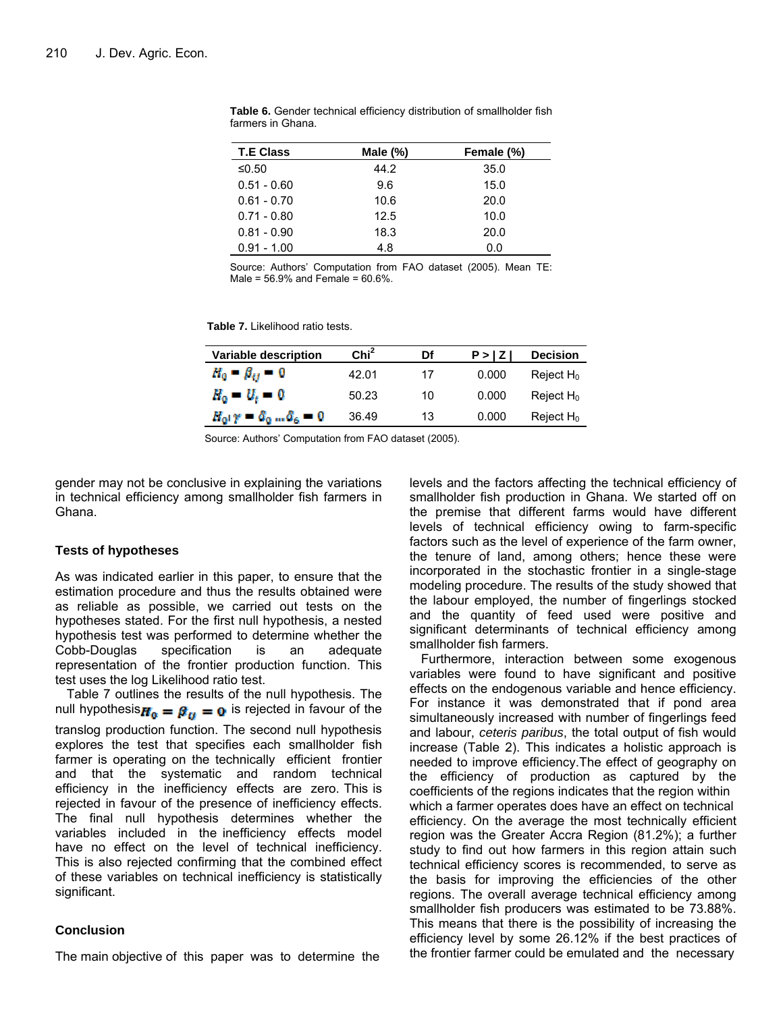| <b>T.E Class</b> | Male $(\%)$ | Female (%) |
|------------------|-------------|------------|
| ≤0.50            | 44.2        | 35.0       |
| $0.51 - 0.60$    | 9.6         | 15.0       |
| $0.61 - 0.70$    | 10.6        | 20.0       |
| $0.71 - 0.80$    | 12.5        | 10.0       |
| $0.81 - 0.90$    | 18.3        | 20.0       |
| $0.91 - 1.00$    | 4.8         | 0.0        |

**Table 6.** Gender technical efficiency distribution of smallholder fish farmers in Ghana.

Source: Authors' Computation from FAO dataset (2005). Mean TE: Male = 56.9% and Female = 60.6%.

**Table 7.** Likelihood ratio tests.

| <b>Variable description</b>                  | Chi <sup>2</sup> | Df | P >  Z | <b>Decision</b> |
|----------------------------------------------|------------------|----|--------|-----------------|
| $H_0 - \beta_{ij} = 0$                       | 42.01            | 17 | 0.000  | Reject $H_0$    |
| $H_0 = H_t = 0$                              | 50.23            | 10 | 0.000  | Reject $H_0$    |
| $H_0$ $\gamma = \delta_0 \dots \delta_6 = 0$ | 36.49            | 13 | 0.000  | Reject $H_0$    |

Source: Authors' Computation from FAO dataset (2005).

gender may not be conclusive in explaining the variations in technical efficiency among smallholder fish farmers in Ghana.

#### **Tests of hypotheses**

As was indicated earlier in this paper, to ensure that the estimation procedure and thus the results obtained were as reliable as possible, we carried out tests on the hypotheses stated. For the first null hypothesis, a nested hypothesis test was performed to determine whether the Cobb-Douglas specification is an adequate representation of the frontier production function. This test uses the log Likelihood ratio test.

Table 7 outlines the results of the null hypothesis. The null hypothesis $H_0 = \beta_{ii} = 0$  is rejected in favour of the translog production function. The second null hypothesis explores the test that specifies each smallholder fish farmer is operating on the technically efficient frontier and that the systematic and random technical efficiency in the inefficiency effects are zero. This is rejected in favour of the presence of inefficiency effects. The final null hypothesis determines whether the variables included in the inefficiency effects model have no effect on the level of technical inefficiency. This is also rejected confirming that the combined effect of these variables on technical inefficiency is statistically significant.

### **Conclusion**

The main objective of this paper was to determine the

levels and the factors affecting the technical efficiency of smallholder fish production in Ghana. We started off on the premise that different farms would have different levels of technical efficiency owing to farm-specific factors such as the level of experience of the farm owner, the tenure of land, among others; hence these were incorporated in the stochastic frontier in a single-stage modeling procedure. The results of the study showed that the labour employed, the number of fingerlings stocked and the quantity of feed used were positive and significant determinants of technical efficiency among smallholder fish farmers.

Furthermore, interaction between some exogenous variables were found to have significant and positive effects on the endogenous variable and hence efficiency. For instance it was demonstrated that if pond area simultaneously increased with number of fingerlings feed and labour, *ceteris paribus*, the total output of fish would increase (Table 2). This indicates a holistic approach is needed to improve efficiency.The effect of geography on the efficiency of production as captured by the coefficients of the regions indicates that the region within which a farmer operates does have an effect on technical efficiency. On the average the most technically efficient region was the Greater Accra Region (81.2%); a further study to find out how farmers in this region attain such technical efficiency scores is recommended, to serve as the basis for improving the efficiencies of the other regions. The overall average technical efficiency among smallholder fish producers was estimated to be 73.88%. This means that there is the possibility of increasing the efficiency level by some 26.12% if the best practices of the frontier farmer could be emulated and the necessary